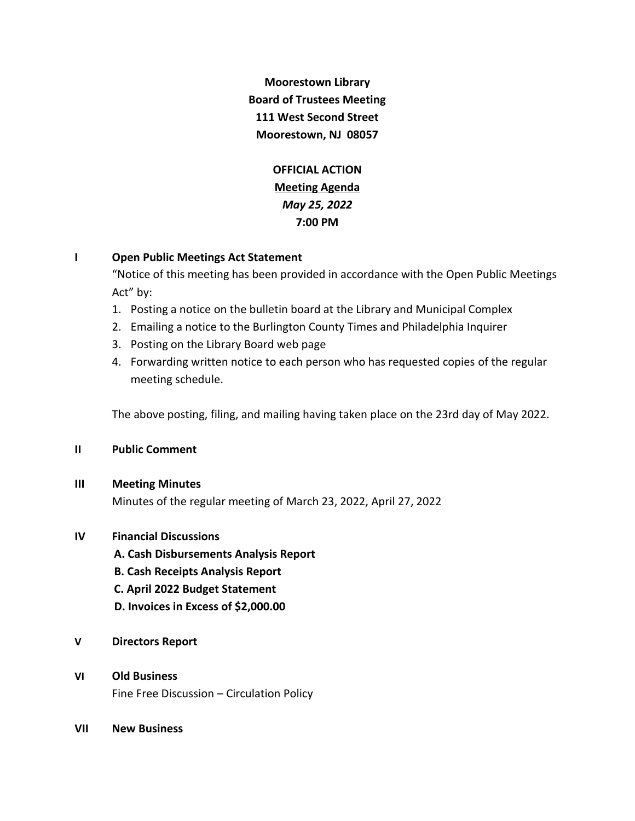**Moorestown Library Board of Trustees Meeting 111 West Second Street Moorestown, NJ 08057**

> **OFFICIAL ACTION Meeting Agenda** *May 25, 2022* **7:00 PM**

## **I Open Public Meetings Act Statement**

"Notice of this meeting has been provided in accordance with the Open Public Meetings Act" by:

- 1. Posting a notice on the bulletin board at the Library and Municipal Complex
- 2. Emailing a notice to the Burlington County Times and Philadelphia Inquirer
- 3. Posting on the Library Board web page
- 4. Forwarding written notice to each person who has requested copies of the regular meeting schedule.

The above posting, filing, and mailing having taken place on the 23rd day of May 2022.

## **II Public Comment**

## **III Meeting Minutes**

Minutes of the regular meeting of March 23, 2022, April 27, 2022

## **IV Financial Discussions**

- **A. Cash Disbursements Analysis Report**
- **B. Cash Receipts Analysis Report**
- **C. April 2022 Budget Statement**
- **D. Invoices in Excess of \$2,000.00**
- **V Directors Report**

# **VI Old Business**

Fine Free Discussion – Circulation Policy

**VII New Business**